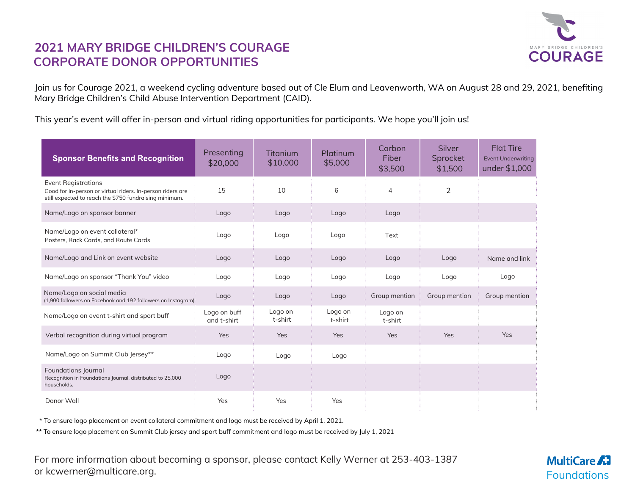

## **2021 MARY BRIDGE CHILDREN'S COURAGE CORPORATE DONOR OPPORTUNITIES**

Join us for Courage 2021, a weekend cycling adventure based out of Cle Elum and Leavenworth, WA on August 28 and 29, 2021, benefiting Mary Bridge Children's Child Abuse Intervention Department (CAID).

This year's event will offer in-person and virtual riding opportunities for participants. We hope you'll join us!

| <b>Sponsor Benefits and Recognition</b>                                                                                                            | Presenting<br>\$20,000      | <b>Titanium</b><br>\$10,000 | Platinum<br>\$5,000 | Carbon<br>Fiber<br>\$3,500 | Silver<br>Sprocket<br>\$1,500 | <b>Flat Tire</b><br><b>Event Underwriting</b><br>under \$1,000 |
|----------------------------------------------------------------------------------------------------------------------------------------------------|-----------------------------|-----------------------------|---------------------|----------------------------|-------------------------------|----------------------------------------------------------------|
| <b>Event Registrations</b><br>Good for in-person or virtual riders. In-person riders are<br>still expected to reach the \$750 fundraising minimum. | 15                          | 10                          | 6                   | $\overline{4}$             | 2                             |                                                                |
| Name/Logo on sponsor banner                                                                                                                        | Logo                        | Logo                        | Logo                | Logo                       |                               |                                                                |
| Name/Logo on event collateral*<br>Posters, Rack Cards, and Route Cards                                                                             | Logo                        | Logo                        | Logo                | Text                       |                               |                                                                |
| Name/Logo and Link on event website                                                                                                                | Logo                        | Logo                        | Logo                | Logo                       | Logo                          | Name and link                                                  |
| Name/Logo on sponsor "Thank You" video                                                                                                             | Logo                        | Logo                        | Logo                | Logo                       | Logo                          | Logo                                                           |
| Name/Logo on social media<br>(1,900 followers on Facebook and 192 followers on Instagram)                                                          | Logo                        | Logo                        | Logo                | Group mention              | Group mention                 | Group mention                                                  |
| Name/Logo on event t-shirt and sport buff                                                                                                          | Logo on buff<br>and t-shirt | Logo on<br>t-shirt          | Logo on<br>t-shirt  | Logo on<br>t-shirt         |                               |                                                                |
| Verbal recognition during virtual program                                                                                                          | Yes                         | Yes                         | Yes                 | Yes                        | Yes                           | Yes                                                            |
| Name/Logo on Summit Club Jersey**                                                                                                                  | Logo                        | Logo                        | Logo                |                            |                               |                                                                |
| Foundations Journal<br>Recognition in Foundations Journal, distributed to 25,000<br>households.                                                    | Logo                        |                             |                     |                            |                               |                                                                |
| Donor Wall                                                                                                                                         | Yes                         | Yes                         | Yes                 |                            |                               |                                                                |

\* To ensure logo placement on event collateral commitment and logo must be received by April 1, 2021.

\*\* To ensure logo placement on Summit Club jersey and sport buff commitment and logo must be received by July 1, 2021

For more information about becoming a sponsor, please contact Kelly Werner at 253-403-1387 or kcwerner@multicare.org.

**MultiCare 21** Foundations